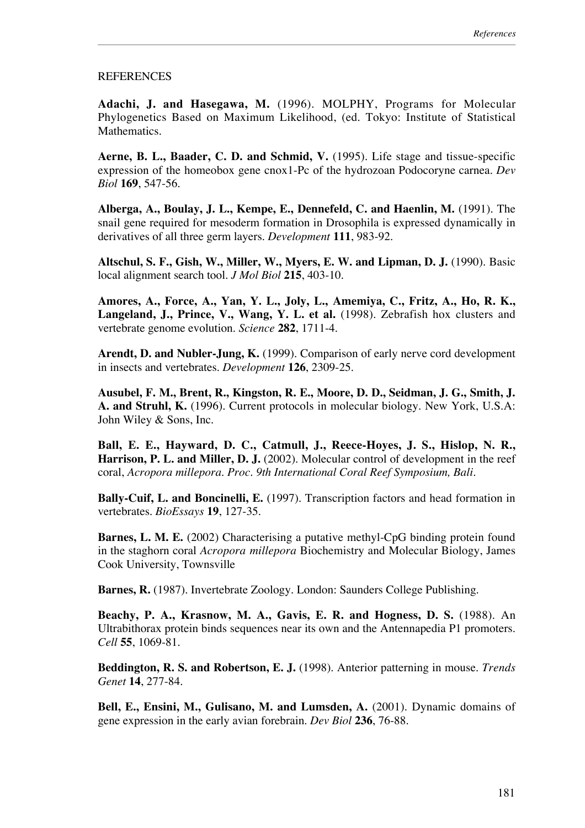## REFERENCES

**Adachi, J. and Hasegawa, M.** (1996). MOLPHY, Programs for Molecular Phylogenetics Based on Maximum Likelihood, (ed. Tokyo: Institute of Statistical Mathematics.

**Aerne, B. L., Baader, C. D. and Schmid, V.** (1995). Life stage and tissue-specific expression of the homeobox gene cnox1-Pc of the hydrozoan Podocoryne carnea. *Dev Biol* **169**, 547-56.

**Alberga, A., Boulay, J. L., Kempe, E., Dennefeld, C. and Haenlin, M.** (1991). The snail gene required for mesoderm formation in Drosophila is expressed dynamically in derivatives of all three germ layers. *Development* **111**, 983-92.

**Altschul, S. F., Gish, W., Miller, W., Myers, E. W. and Lipman, D. J.** (1990). Basic local alignment search tool. *J Mol Biol* **215**, 403-10.

**Amores, A., Force, A., Yan, Y. L., Joly, L., Amemiya, C., Fritz, A., Ho, R. K., Langeland, J., Prince, V., Wang, Y. L. et al.** (1998). Zebrafish hox clusters and vertebrate genome evolution. *Science* **282**, 1711-4.

**Arendt, D. and Nubler-Jung, K.** (1999). Comparison of early nerve cord development in insects and vertebrates. *Development* **126**, 2309-25.

**Ausubel, F. M., Brent, R., Kingston, R. E., Moore, D. D., Seidman, J. G., Smith, J. A. and Struhl, K.** (1996). Current protocols in molecular biology. New York, U.S.A: John Wiley & Sons, Inc.

**Ball, E. E., Hayward, D. C., Catmull, J., Reece-Hoyes, J. S., Hislop, N. R., Harrison, P. L. and Miller, D. J.** (2002). Molecular control of development in the reef coral, *Acropora millepora*. *Proc. 9th International Coral Reef Symposium, Bali.*

**Bally-Cuif, L. and Boncinelli, E.** (1997). Transcription factors and head formation in vertebrates. *BioEssays* **19**, 127-35.

**Barnes, L. M. E.** (2002) Characterising a putative methyl-CpG binding protein found in the staghorn coral *Acropora millepora* Biochemistry and Molecular Biology, James Cook University, Townsville

**Barnes, R.** (1987). Invertebrate Zoology. London: Saunders College Publishing.

**Beachy, P. A., Krasnow, M. A., Gavis, E. R. and Hogness, D. S.** (1988). An Ultrabithorax protein binds sequences near its own and the Antennapedia P1 promoters. *Cell* **55**, 1069-81.

**Beddington, R. S. and Robertson, E. J.** (1998). Anterior patterning in mouse. *Trends Genet* **14**, 277-84.

**Bell, E., Ensini, M., Gulisano, M. and Lumsden, A.** (2001). Dynamic domains of gene expression in the early avian forebrain. *Dev Biol* **236**, 76-88.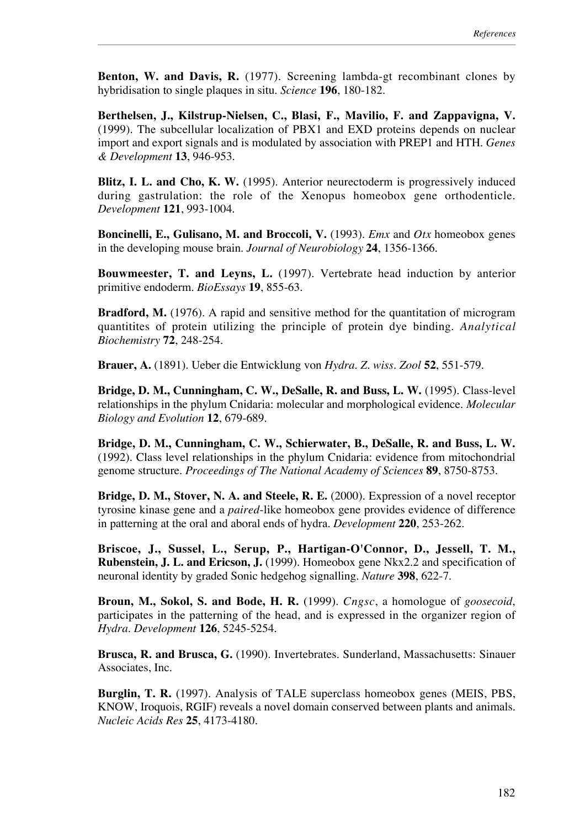**Benton, W. and Davis, R.** (1977). Screening lambda-gt recombinant clones by hybridisation to single plaques in situ. *Science* **196**, 180-182.

**Berthelsen, J., Kilstrup-Nielsen, C., Blasi, F., Mavilio, F. and Zappavigna, V.** (1999). The subcellular localization of PBX1 and EXD proteins depends on nuclear import and export signals and is modulated by association with PREP1 and HTH. *Genes & Development* **13**, 946-953.

**Blitz, I. L. and Cho, K. W.** (1995). Anterior neurectoderm is progressively induced during gastrulation: the role of the Xenopus homeobox gene orthodenticle. *Development* **121**, 993-1004.

**Boncinelli, E., Gulisano, M. and Broccoli, V.** (1993). *Emx* and *Otx* homeobox genes in the developing mouse brain. *Journal of Neurobiology* **24**, 1356-1366.

**Bouwmeester, T. and Leyns, L.** (1997). Vertebrate head induction by anterior primitive endoderm. *BioEssays* **19**, 855-63.

**Bradford, M.** (1976). A rapid and sensitive method for the quantitation of microgram quantitites of protein utilizing the principle of protein dye binding. *Analytical Biochemistry* **72**, 248-254.

**Brauer, A.** (1891). Ueber die Entwicklung von *Hydra*. *Z. wiss. Zool* **52**, 551-579.

**Bridge, D. M., Cunningham, C. W., DeSalle, R. and Buss, L. W.** (1995). Class-level relationships in the phylum Cnidaria: molecular and morphological evidence. *Molecular Biology and Evolution* **12**, 679-689.

**Bridge, D. M., Cunningham, C. W., Schierwater, B., DeSalle, R. and Buss, L. W.** (1992). Class level relationships in the phylum Cnidaria: evidence from mitochondrial genome structure. *Proceedings of The National Academy of Sciences* **89**, 8750-8753.

**Bridge, D. M., Stover, N. A. and Steele, R. E.** (2000). Expression of a novel receptor tyrosine kinase gene and a *paired*-like homeobox gene provides evidence of difference in patterning at the oral and aboral ends of hydra. *Development* **220**, 253-262.

**Briscoe, J., Sussel, L., Serup, P., Hartigan-O'Connor, D., Jessell, T. M., Rubenstein, J. L. and Ericson, J.** (1999). Homeobox gene Nkx2.2 and specification of neuronal identity by graded Sonic hedgehog signalling. *Nature* **398**, 622-7.

**Broun, M., Sokol, S. and Bode, H. R.** (1999). *Cngsc*, a homologue of *goosecoid*, participates in the patterning of the head, and is expressed in the organizer region of *Hydra*. *Development* **126**, 5245-5254.

**Brusca, R. and Brusca, G.** (1990). Invertebrates. Sunderland, Massachusetts: Sinauer Associates, Inc.

**Burglin, T. R.** (1997). Analysis of TALE superclass homeobox genes (MEIS, PBS, KNOW, Iroquois, RGIF) reveals a novel domain conserved between plants and animals. *Nucleic Acids Res* **25**, 4173-4180.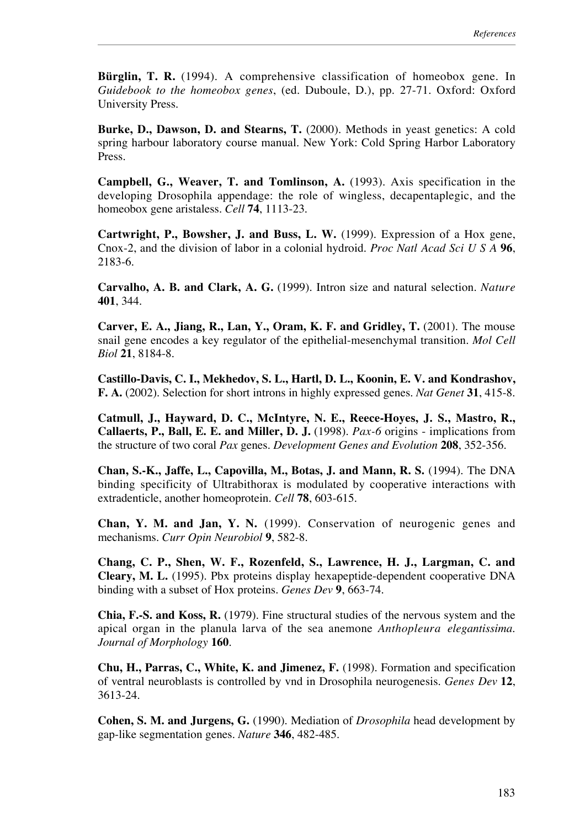**Bürglin, T. R.** (1994). A comprehensive classification of homeobox gene. In *Guidebook to the homeobox genes*, (ed. Duboule, D.), pp. 27-71. Oxford: Oxford University Press.

**Burke, D., Dawson, D. and Stearns, T.** (2000). Methods in yeast genetics: A cold spring harbour laboratory course manual. New York: Cold Spring Harbor Laboratory Press.

**Campbell, G., Weaver, T. and Tomlinson, A.** (1993). Axis specification in the developing Drosophila appendage: the role of wingless, decapentaplegic, and the homeobox gene aristaless. *Cell* **74**, 1113-23.

**Cartwright, P., Bowsher, J. and Buss, L. W.** (1999). Expression of a Hox gene, Cnox-2, and the division of labor in a colonial hydroid. *Proc Natl Acad Sci U S A* **96**, 2183-6.

**Carvalho, A. B. and Clark, A. G.** (1999). Intron size and natural selection. *Nature* **401**, 344.

**Carver, E. A., Jiang, R., Lan, Y., Oram, K. F. and Gridley, T.** (2001). The mouse snail gene encodes a key regulator of the epithelial-mesenchymal transition. *Mol Cell Biol* **21**, 8184-8.

**Castillo-Davis, C. I., Mekhedov, S. L., Hartl, D. L., Koonin, E. V. and Kondrashov, F. A.** (2002). Selection for short introns in highly expressed genes. *Nat Genet* **31**, 415-8.

**Catmull, J., Hayward, D. C., McIntyre, N. E., Reece-Hoyes, J. S., Mastro, R., Callaerts, P., Ball, E. E. and Miller, D. J.** (1998). *Pax-6* origins - implications from the structure of two coral *Pax* genes. *Development Genes and Evolution* **208**, 352-356.

**Chan, S.-K., Jaffe, L., Capovilla, M., Botas, J. and Mann, R. S.** (1994). The DNA binding specificity of Ultrabithorax is modulated by cooperative interactions with extradenticle, another homeoprotein. *Cell* **78**, 603-615.

**Chan, Y. M. and Jan, Y. N.** (1999). Conservation of neurogenic genes and mechanisms. *Curr Opin Neurobiol* **9**, 582-8.

**Chang, C. P., Shen, W. F., Rozenfeld, S., Lawrence, H. J., Largman, C. and Cleary, M. L.** (1995). Pbx proteins display hexapeptide-dependent cooperative DNA binding with a subset of Hox proteins. *Genes Dev* **9**, 663-74.

**Chia, F.-S. and Koss, R.** (1979). Fine structural studies of the nervous system and the apical organ in the planula larva of the sea anemone *Anthopleura elegantissima*. *Journal of Morphology* **160**.

**Chu, H., Parras, C., White, K. and Jimenez, F.** (1998). Formation and specification of ventral neuroblasts is controlled by vnd in Drosophila neurogenesis. *Genes Dev* **12**, 3613-24.

**Cohen, S. M. and Jurgens, G.** (1990). Mediation of *Drosophila* head development by gap-like segmentation genes. *Nature* **346**, 482-485.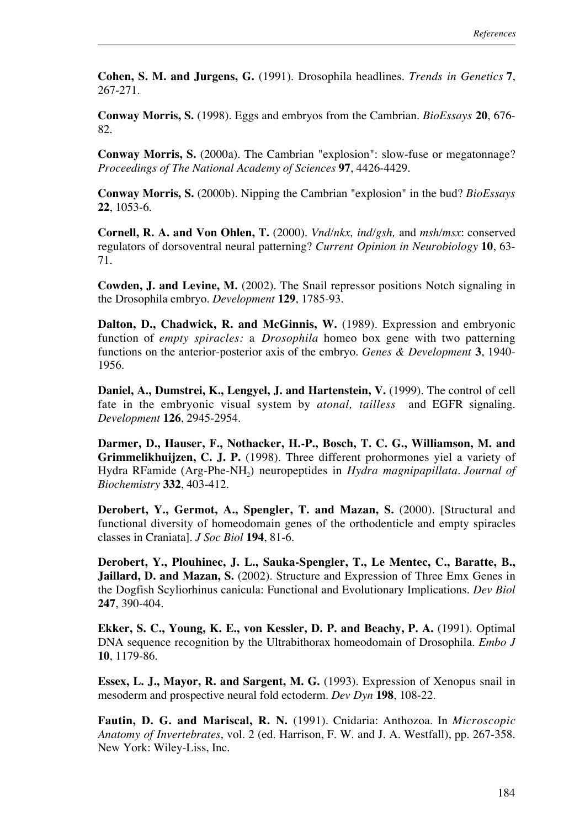**Cohen, S. M. and Jurgens, G.** (1991). Drosophila headlines. *Trends in Genetics* **7**, 267-271.

**Conway Morris, S.** (1998). Eggs and embryos from the Cambrian. *BioEssays* **20**, 676- 82.

**Conway Morris, S.** (2000a). The Cambrian "explosion": slow-fuse or megatonnage? *Proceedings of The National Academy of Sciences* **97**, 4426-4429.

**Conway Morris, S.** (2000b). Nipping the Cambrian "explosion" in the bud? *BioEssays* **22**, 1053-6.

**Cornell, R. A. and Von Ohlen, T.** (2000). *Vnd/nkx, ind/gsh,* and *msh/msx*: conserved regulators of dorsoventral neural patterning? *Current Opinion in Neurobiology* **10**, 63- 71.

**Cowden, J. and Levine, M.** (2002). The Snail repressor positions Notch signaling in the Drosophila embryo. *Development* **129**, 1785-93.

**Dalton, D., Chadwick, R. and McGinnis, W.** (1989). Expression and embryonic function of *empty spiracles:* a *Drosophila* homeo box gene with two patterning functions on the anterior-posterior axis of the embryo. *Genes & Development* **3**, 1940- 1956.

**Daniel, A., Dumstrei, K., Lengyel, J. and Hartenstein, V.** (1999). The control of cell fate in the embryonic visual system by *atonal, tailless* and EGFR signaling. *Development* **126**, 2945-2954.

**Darmer, D., Hauser, F., Nothacker, H.-P., Bosch, T. C. G., Williamson, M. and Grimmelikhuijzen, C. J. P.** (1998). Three different prohormones yiel a variety of Hydra RFamide (Arg-Phe-NH<sub>2</sub>) neuropeptides in *Hydra magnipapillata*. *Journal of Biochemistry* **332**, 403-412.

**Derobert, Y., Germot, A., Spengler, T. and Mazan, S.** (2000). [Structural and functional diversity of homeodomain genes of the orthodenticle and empty spiracles classes in Craniata]. *J Soc Biol* **194**, 81-6.

**Derobert, Y., Plouhinec, J. L., Sauka-Spengler, T., Le Mentec, C., Baratte, B., Jaillard, D. and Mazan, S.** (2002). Structure and Expression of Three Emx Genes in the Dogfish Scyliorhinus canicula: Functional and Evolutionary Implications. *Dev Biol* **247**, 390-404.

**Ekker, S. C., Young, K. E., von Kessler, D. P. and Beachy, P. A.** (1991). Optimal DNA sequence recognition by the Ultrabithorax homeodomain of Drosophila. *Embo J* **10**, 1179-86.

**Essex, L. J., Mayor, R. and Sargent, M. G.** (1993). Expression of Xenopus snail in mesoderm and prospective neural fold ectoderm. *Dev Dyn* **198**, 108-22.

**Fautin, D. G. and Mariscal, R. N.** (1991). Cnidaria: Anthozoa. In *Microscopic Anatomy of Invertebrates*, vol. 2 (ed. Harrison, F. W. and J. A. Westfall), pp. 267-358. New York: Wiley-Liss, Inc.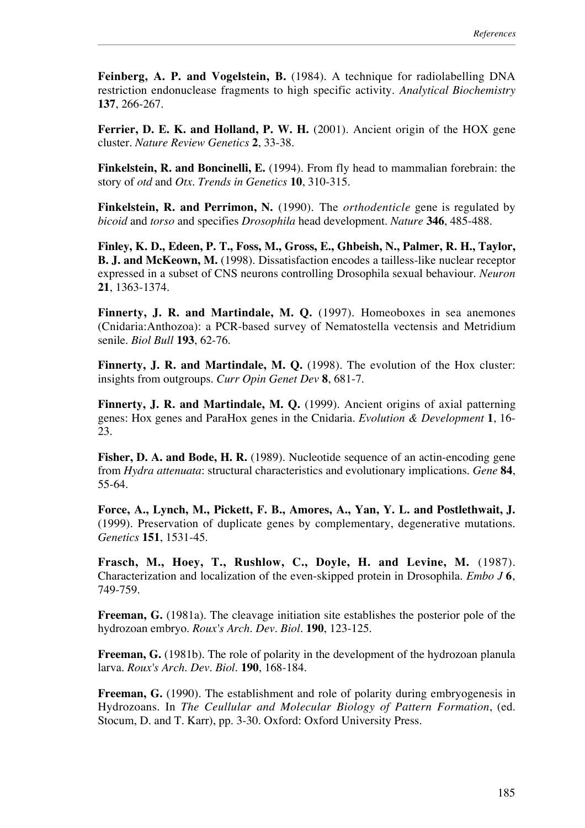**Feinberg, A. P. and Vogelstein, B.** (1984). A technique for radiolabelling DNA restriction endonuclease fragments to high specific activity. *Analytical Biochemistry* **137**, 266-267.

**Ferrier, D. E. K. and Holland, P. W. H.** (2001). Ancient origin of the HOX gene cluster. *Nature Review Genetics* **2**, 33-38.

**Finkelstein, R. and Boncinelli, E.** (1994). From fly head to mammalian forebrain: the story of *otd* and *Otx*. *Trends in Genetics* **10**, 310-315.

**Finkelstein, R. and Perrimon, N.** (1990). The *orthodenticle* gene is regulated by *bicoid* and *torso* and specifies *Drosophila* head development. *Nature* **346**, 485-488.

**Finley, K. D., Edeen, P. T., Foss, M., Gross, E., Ghbeish, N., Palmer, R. H., Taylor, B. J. and McKeown, M.** (1998). Dissatisfaction encodes a tailless-like nuclear receptor expressed in a subset of CNS neurons controlling Drosophila sexual behaviour. *Neuron* **21**, 1363-1374.

**Finnerty, J. R. and Martindale, M. Q.** (1997). Homeoboxes in sea anemones (Cnidaria:Anthozoa): a PCR-based survey of Nematostella vectensis and Metridium senile. *Biol Bull* **193**, 62-76.

**Finnerty, J. R. and Martindale, M. Q.** (1998). The evolution of the Hox cluster: insights from outgroups. *Curr Opin Genet Dev* **8**, 681-7.

**Finnerty, J. R. and Martindale, M. Q.** (1999). Ancient origins of axial patterning genes: Hox genes and ParaHox genes in the Cnidaria. *Evolution & Development* **1**, 16- 23.

**Fisher, D. A. and Bode, H. R.** (1989). Nucleotide sequence of an actin-encoding gene from *Hydra attenuata*: structural characteristics and evolutionary implications. *Gene* **84**, 55-64.

**Force, A., Lynch, M., Pickett, F. B., Amores, A., Yan, Y. L. and Postlethwait, J.** (1999). Preservation of duplicate genes by complementary, degenerative mutations. *Genetics* **151**, 1531-45.

**Frasch, M., Hoey, T., Rushlow, C., Doyle, H. and Levine, M.** (1987). Characterization and localization of the even-skipped protein in Drosophila. *Embo J* **6**, 749-759.

**Freeman, G.** (1981a). The cleavage initiation site establishes the posterior pole of the hydrozoan embryo. *Roux's Arch. Dev. Biol.* **190**, 123-125.

**Freeman, G.** (1981b). The role of polarity in the development of the hydrozoan planula larva. *Roux's Arch. Dev. Biol.* **190**, 168-184.

Freeman, G. (1990). The establishment and role of polarity during embryogenesis in Hydrozoans. In *The Ceullular and Molecular Biology of Pattern Formation*, (ed. Stocum, D. and T. Karr), pp. 3-30. Oxford: Oxford University Press.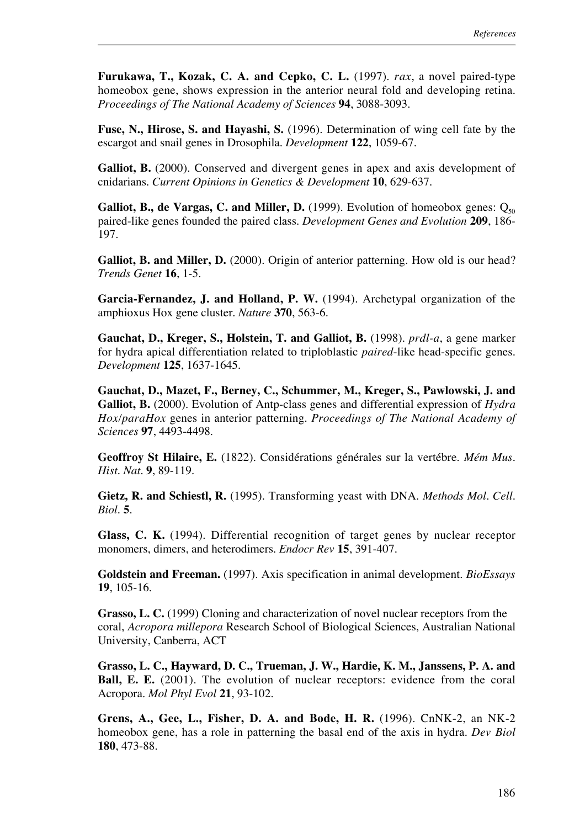**Furukawa, T., Kozak, C. A. and Cepko, C. L.** (1997). *rax*, a novel paired-type homeobox gene, shows expression in the anterior neural fold and developing retina. *Proceedings of The National Academy of Sciences* **94**, 3088-3093.

**Fuse, N., Hirose, S. and Hayashi, S.** (1996). Determination of wing cell fate by the escargot and snail genes in Drosophila. *Development* **122**, 1059-67.

**Galliot, B.** (2000). Conserved and divergent genes in apex and axis development of cnidarians. *Current Opinions in Genetics & Development* **10**, 629-637.

**Galliot, B., de Vargas, C. and Miller, D.** (1999). Evolution of homeobox genes:  $Q_{50}$ paired-like genes founded the paired class. *Development Genes and Evolution* **209**, 186- 197.

**Galliot, B. and Miller, D.** (2000). Origin of anterior patterning. How old is our head? *Trends Genet* **16**, 1-5.

**Garcia-Fernandez, J. and Holland, P. W.** (1994). Archetypal organization of the amphioxus Hox gene cluster. *Nature* **370**, 563-6.

**Gauchat, D., Kreger, S., Holstein, T. and Galliot, B.** (1998). *prdl-a*, a gene marker for hydra apical differentiation related to triploblastic *paired*-like head-specific genes. *Development* **125**, 1637-1645.

**Gauchat, D., Mazet, F., Berney, C., Schummer, M., Kreger, S., Pawlowski, J. and Galliot, B.** (2000). Evolution of Antp-class genes and differential expression of *Hydra Hox/paraHox* genes in anterior patterning. *Proceedings of The National Academy of Sciences* **97**, 4493-4498.

**Geoffroy St Hilaire, E.** (1822). Considérations générales sur la vertébre. *Mém Mus. Hist. Nat.* **9**, 89-119.

**Gietz, R. and Schiestl, R.** (1995). Transforming yeast with DNA. *Methods Mol. Cell. Biol.* **5**.

**Glass, C. K.** (1994). Differential recognition of target genes by nuclear receptor monomers, dimers, and heterodimers. *Endocr Rev* **15**, 391-407.

**Goldstein and Freeman.** (1997). Axis specification in animal development. *BioEssays* **19**, 105-16.

**Grasso, L. C.** (1999) Cloning and characterization of novel nuclear receptors from the coral, *Acropora millepora* Research School of Biological Sciences, Australian National University, Canberra, ACT

**Grasso, L. C., Hayward, D. C., Trueman, J. W., Hardie, K. M., Janssens, P. A. and Ball, E. E.** (2001). The evolution of nuclear receptors: evidence from the coral Acropora. *Mol Phyl Evol* **21**, 93-102.

**Grens, A., Gee, L., Fisher, D. A. and Bode, H. R.** (1996). CnNK-2, an NK-2 homeobox gene, has a role in patterning the basal end of the axis in hydra. *Dev Biol* **180**, 473-88.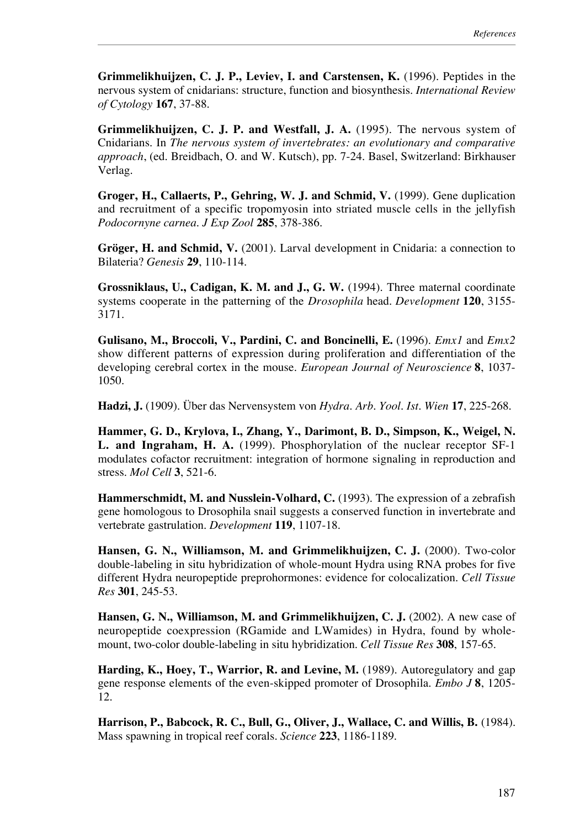**Grimmelikhuijzen, C. J. P., Leviev, I. and Carstensen, K.** (1996). Peptides in the nervous system of cnidarians: structure, function and biosynthesis. *International Review of Cytology* **167**, 37-88.

**Grimmelikhuijzen, C. J. P. and Westfall, J. A.** (1995). The nervous system of Cnidarians. In *The nervous system of invertebrates: an evolutionary and comparative approach*, (ed. Breidbach, O. and W. Kutsch), pp. 7-24. Basel, Switzerland: Birkhauser Verlag.

**Groger, H., Callaerts, P., Gehring, W. J. and Schmid, V.** (1999). Gene duplication and recruitment of a specific tropomyosin into striated muscle cells in the jellyfish *Podocornyne carnea*. *J Exp Zool* **285**, 378-386.

**Gröger, H. and Schmid, V.** (2001). Larval development in Cnidaria: a connection to Bilateria? *Genesis* **29**, 110-114.

**Grossniklaus, U., Cadigan, K. M. and J., G. W.** (1994). Three maternal coordinate systems cooperate in the patterning of the *Drosophila* head. *Development* **120**, 3155- 3171.

**Gulisano, M., Broccoli, V., Pardini, C. and Boncinelli, E.** (1996). *Emx1* and *Emx2* show different patterns of expression during proliferation and differentiation of the developing cerebral cortex in the mouse. *European Journal of Neuroscience* **8**, 1037- 1050.

**Hadzi, J.** (1909). Über das Nervensystem von *Hydra*. *Arb. Yool. Ist. Wien* **17**, 225-268.

**Hammer, G. D., Krylova, I., Zhang, Y., Darimont, B. D., Simpson, K., Weigel, N. L. and Ingraham, H. A.** (1999). Phosphorylation of the nuclear receptor SF-1 modulates cofactor recruitment: integration of hormone signaling in reproduction and stress. *Mol Cell* **3**, 521-6.

**Hammerschmidt, M. and Nusslein-Volhard, C.** (1993). The expression of a zebrafish gene homologous to Drosophila snail suggests a conserved function in invertebrate and vertebrate gastrulation. *Development* **119**, 1107-18.

**Hansen, G. N., Williamson, M. and Grimmelikhuijzen, C. J.** (2000). Two-color double-labeling in situ hybridization of whole-mount Hydra using RNA probes for five different Hydra neuropeptide preprohormones: evidence for colocalization. *Cell Tissue Res* **301**, 245-53.

**Hansen, G. N., Williamson, M. and Grimmelikhuijzen, C. J.** (2002). A new case of neuropeptide coexpression (RGamide and LWamides) in Hydra, found by wholemount, two-color double-labeling in situ hybridization. *Cell Tissue Res* **308**, 157-65.

**Harding, K., Hoey, T., Warrior, R. and Levine, M.** (1989). Autoregulatory and gap gene response elements of the even-skipped promoter of Drosophila. *Embo J* **8**, 1205- 12.

**Harrison, P., Babcock, R. C., Bull, G., Oliver, J., Wallace, C. and Willis, B.** (1984). Mass spawning in tropical reef corals. *Science* **223**, 1186-1189.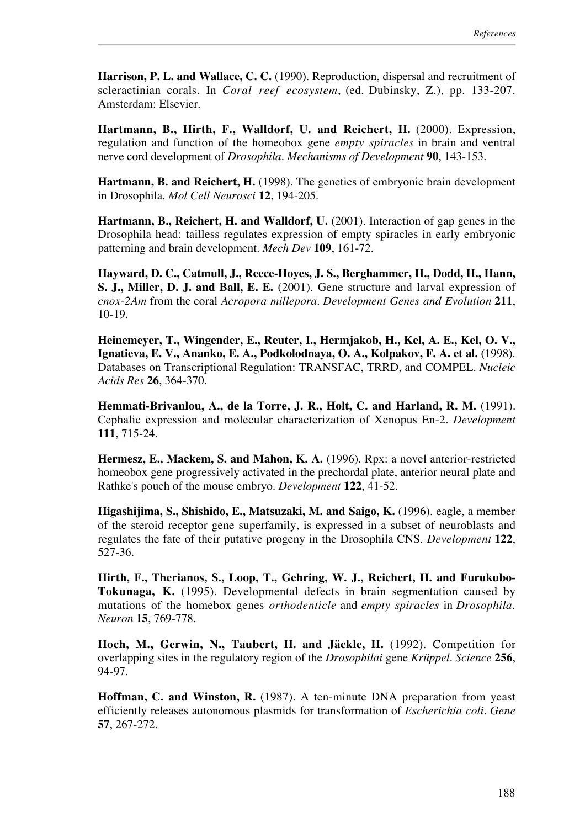Harrison, P. L. and Wallace, C. C. (1990). Reproduction, dispersal and recruitment of scleractinian corals. In *Coral reef ecosystem*, (ed. Dubinsky, Z.), pp. 133-207. Amsterdam: Elsevier.

**Hartmann, B., Hirth, F., Walldorf, U. and Reichert, H.** (2000). Expression, regulation and function of the homeobox gene *empty spiracles* in brain and ventral nerve cord development of *Drosophila*. *Mechanisms of Development* **90**, 143-153.

**Hartmann, B. and Reichert, H.** (1998). The genetics of embryonic brain development in Drosophila. *Mol Cell Neurosci* **12**, 194-205.

**Hartmann, B., Reichert, H. and Walldorf, U.** (2001). Interaction of gap genes in the Drosophila head: tailless regulates expression of empty spiracles in early embryonic patterning and brain development. *Mech Dev* **109**, 161-72.

**Hayward, D. C., Catmull, J., Reece-Hoyes, J. S., Berghammer, H., Dodd, H., Hann, S. J., Miller, D. J. and Ball, E. E.** (2001). Gene structure and larval expression of *cnox-2Am* from the coral *Acropora millepora*. *Development Genes and Evolution* **211**, 10-19.

**Heinemeyer, T., Wingender, E., Reuter, I., Hermjakob, H., Kel, A. E., Kel, O. V., Ignatieva, E. V., Ananko, E. A., Podkolodnaya, O. A., Kolpakov, F. A. et al.** (1998). Databases on Transcriptional Regulation: TRANSFAC, TRRD, and COMPEL. *Nucleic Acids Res* **26**, 364-370.

**Hemmati-Brivanlou, A., de la Torre, J. R., Holt, C. and Harland, R. M.** (1991). Cephalic expression and molecular characterization of Xenopus En-2. *Development* **111**, 715-24.

**Hermesz, E., Mackem, S. and Mahon, K. A.** (1996). Rpx: a novel anterior-restricted homeobox gene progressively activated in the prechordal plate, anterior neural plate and Rathke's pouch of the mouse embryo. *Development* **122**, 41-52.

**Higashijima, S., Shishido, E., Matsuzaki, M. and Saigo, K.** (1996). eagle, a member of the steroid receptor gene superfamily, is expressed in a subset of neuroblasts and regulates the fate of their putative progeny in the Drosophila CNS. *Development* **122**, 527-36.

**Hirth, F., Therianos, S., Loop, T., Gehring, W. J., Reichert, H. and Furukubo-Tokunaga, K.** (1995). Developmental defects in brain segmentation caused by mutations of the homebox genes *orthodenticle* and *empty spiracles* in *Drosophila*. *Neuron* **15**, 769-778.

**Hoch, M., Gerwin, N., Taubert, H. and Jäckle, H.** (1992). Competition for overlapping sites in the regulatory region of the *Drosophilai* gene *Krüppel*. *Science* **256**, 94-97.

**Hoffman, C. and Winston, R.** (1987). A ten-minute DNA preparation from yeast efficiently releases autonomous plasmids for transformation of *Escherichia coli*. *Gene* **57**, 267-272.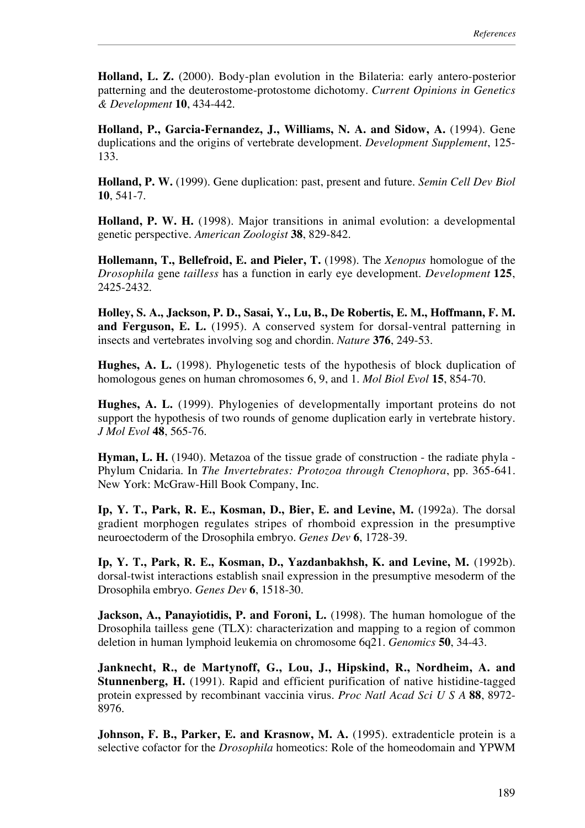**Holland, L. Z.** (2000). Body-plan evolution in the Bilateria: early antero-posterior patterning and the deuterostome-protostome dichotomy. *Current Opinions in Genetics & Development* **10**, 434-442.

**Holland, P., Garcia-Fernandez, J., Williams, N. A. and Sidow, A.** (1994). Gene duplications and the origins of vertebrate development. *Development Supplement*, 125- 133.

**Holland, P. W.** (1999). Gene duplication: past, present and future. *Semin Cell Dev Biol* **10**, 541-7.

**Holland, P. W. H.** (1998). Major transitions in animal evolution: a developmental genetic perspective. *American Zoologist* **38**, 829-842.

**Hollemann, T., Bellefroid, E. and Pieler, T.** (1998). The *Xenopus* homologue of the *Drosophila* gene *tailless* has a function in early eye development. *Development* **125**, 2425-2432.

**Holley, S. A., Jackson, P. D., Sasai, Y., Lu, B., De Robertis, E. M., Hoffmann, F. M. and Ferguson, E. L.** (1995). A conserved system for dorsal-ventral patterning in insects and vertebrates involving sog and chordin. *Nature* **376**, 249-53.

**Hughes, A. L.** (1998). Phylogenetic tests of the hypothesis of block duplication of homologous genes on human chromosomes 6, 9, and 1. *Mol Biol Evol* **15**, 854-70.

**Hughes, A. L.** (1999). Phylogenies of developmentally important proteins do not support the hypothesis of two rounds of genome duplication early in vertebrate history. *J Mol Evol* **48**, 565-76.

**Hyman, L. H.** (1940). Metazoa of the tissue grade of construction - the radiate phyla - Phylum Cnidaria. In *The Invertebrates: Protozoa through Ctenophora*, pp. 365-641. New York: McGraw-Hill Book Company, Inc.

**Ip, Y. T., Park, R. E., Kosman, D., Bier, E. and Levine, M.** (1992a). The dorsal gradient morphogen regulates stripes of rhomboid expression in the presumptive neuroectoderm of the Drosophila embryo. *Genes Dev* **6**, 1728-39.

**Ip, Y. T., Park, R. E., Kosman, D., Yazdanbakhsh, K. and Levine, M.** (1992b). dorsal-twist interactions establish snail expression in the presumptive mesoderm of the Drosophila embryo. *Genes Dev* **6**, 1518-30.

**Jackson, A., Panayiotidis, P. and Foroni, L.** (1998). The human homologue of the Drosophila tailless gene (TLX): characterization and mapping to a region of common deletion in human lymphoid leukemia on chromosome 6q21. *Genomics* **50**, 34-43.

**Janknecht, R., de Martynoff, G., Lou, J., Hipskind, R., Nordheim, A. and Stunnenberg, H.** (1991). Rapid and efficient purification of native histidine-tagged protein expressed by recombinant vaccinia virus. *Proc Natl Acad Sci U S A* **88**, 8972- 8976.

Johnson, F. B., Parker, E. and Krasnow, M. A. (1995). extradenticle protein is a selective cofactor for the *Drosophila* homeotics: Role of the homeodomain and YPWM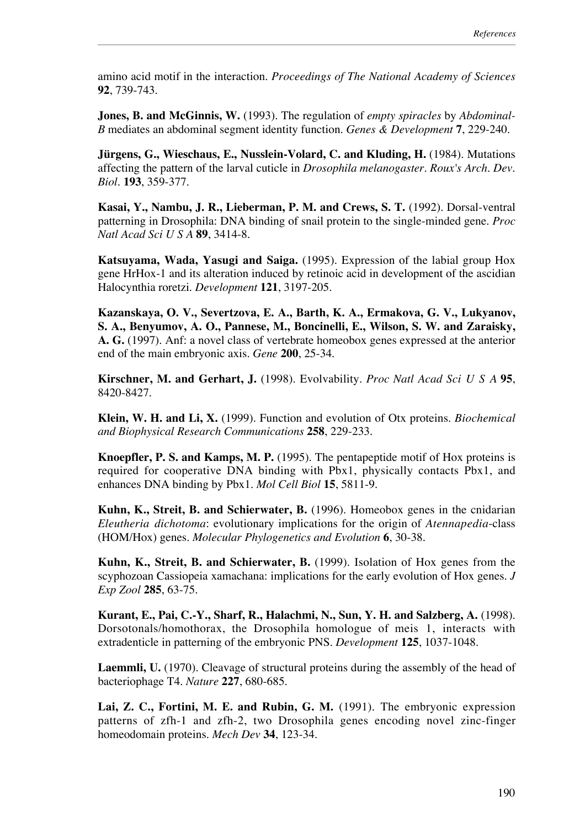amino acid motif in the interaction. *Proceedings of The National Academy of Sciences* **92**, 739-743.

**Jones, B. and McGinnis, W.** (1993). The regulation of *empty spiracles* by *Abdominal-B* mediates an abdominal segment identity function. *Genes & Development* **7**, 229-240.

**Jürgens, G., Wieschaus, E., Nusslein-Volard, C. and Kluding, H.** (1984). Mutations affecting the pattern of the larval cuticle in *Drosophila melanogaster*. *Roux's Arch. Dev. Biol.* **193**, 359-377.

**Kasai, Y., Nambu, J. R., Lieberman, P. M. and Crews, S. T.** (1992). Dorsal-ventral patterning in Drosophila: DNA binding of snail protein to the single-minded gene. *Proc Natl Acad Sci U S A* **89**, 3414-8.

**Katsuyama, Wada, Yasugi and Saiga.** (1995). Expression of the labial group Hox gene HrHox-1 and its alteration induced by retinoic acid in development of the ascidian Halocynthia roretzi. *Development* **121**, 3197-205.

**Kazanskaya, O. V., Severtzova, E. A., Barth, K. A., Ermakova, G. V., Lukyanov, S. A., Benyumov, A. O., Pannese, M., Boncinelli, E., Wilson, S. W. and Zaraisky, A. G.** (1997). Anf: a novel class of vertebrate homeobox genes expressed at the anterior end of the main embryonic axis. *Gene* **200**, 25-34.

**Kirschner, M. and Gerhart, J.** (1998). Evolvability. *Proc Natl Acad Sci U S A* **95**, 8420-8427.

**Klein, W. H. and Li, X.** (1999). Function and evolution of Otx proteins. *Biochemical and Biophysical Research Communications* **258**, 229-233.

**Knoepfler, P. S. and Kamps, M. P.** (1995). The pentapeptide motif of Hox proteins is required for cooperative DNA binding with Pbx1, physically contacts Pbx1, and enhances DNA binding by Pbx1. *Mol Cell Biol* **15**, 5811-9.

**Kuhn, K., Streit, B. and Schierwater, B.** (1996). Homeobox genes in the cnidarian *Eleutheria dichotoma*: evolutionary implications for the origin of *Atennapedia*-class (HOM/Hox) genes. *Molecular Phylogenetics and Evolution* **6**, 30-38.

**Kuhn, K., Streit, B. and Schierwater, B.** (1999). Isolation of Hox genes from the scyphozoan Cassiopeia xamachana: implications for the early evolution of Hox genes. *J Exp Zool* **285**, 63-75.

**Kurant, E., Pai, C.-Y., Sharf, R., Halachmi, N., Sun, Y. H. and Salzberg, A.** (1998). Dorsotonals/homothorax, the Drosophila homologue of meis 1, interacts with extradenticle in patterning of the embryonic PNS. *Development* **125**, 1037-1048.

**Laemmli, U.** (1970). Cleavage of structural proteins during the assembly of the head of bacteriophage T4. *Nature* **227**, 680-685.

**Lai, Z. C., Fortini, M. E. and Rubin, G. M.** (1991). The embryonic expression patterns of zfh-1 and zfh-2, two Drosophila genes encoding novel zinc-finger homeodomain proteins. *Mech Dev* **34**, 123-34.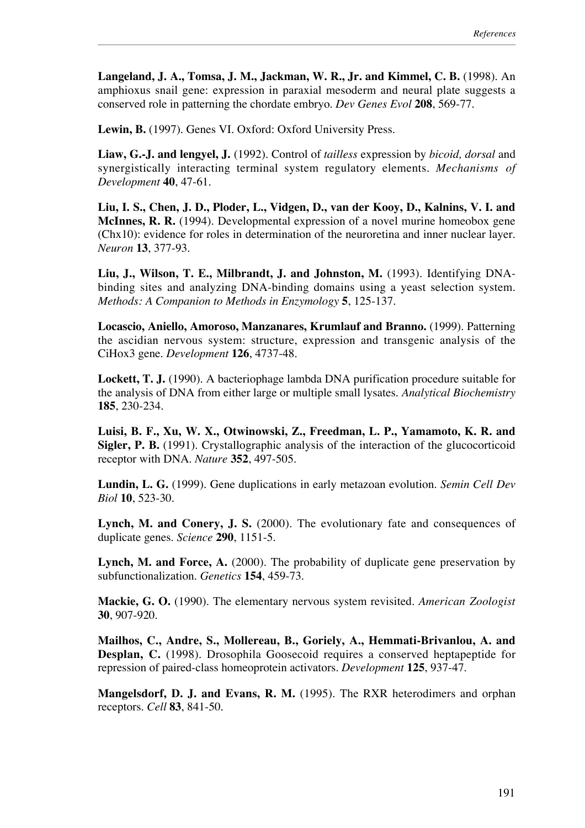**Langeland, J. A., Tomsa, J. M., Jackman, W. R., Jr. and Kimmel, C. B.** (1998). An amphioxus snail gene: expression in paraxial mesoderm and neural plate suggests a conserved role in patterning the chordate embryo. *Dev Genes Evol* **208**, 569-77.

**Lewin, B.** (1997). Genes VI. Oxford: Oxford University Press.

**Liaw, G.-J. and lengyel, J.** (1992). Control of *tailless* expression by *bicoid, dorsal* and synergistically interacting terminal system regulatory elements. *Mechanisms of Development* **40**, 47-61.

**Liu, I. S., Chen, J. D., Ploder, L., Vidgen, D., van der Kooy, D., Kalnins, V. I. and McInnes, R. R.** (1994). Developmental expression of a novel murine homeobox gene (Chx10): evidence for roles in determination of the neuroretina and inner nuclear layer. *Neuron* **13**, 377-93.

**Liu, J., Wilson, T. E., Milbrandt, J. and Johnston, M.** (1993). Identifying DNAbinding sites and analyzing DNA-binding domains using a yeast selection system. *Methods: A Companion to Methods in Enzymology* **5**, 125-137.

**Locascio, Aniello, Amoroso, Manzanares, Krumlauf and Branno.** (1999). Patterning the ascidian nervous system: structure, expression and transgenic analysis of the CiHox3 gene. *Development* **126**, 4737-48.

**Lockett, T. J.** (1990). A bacteriophage lambda DNA purification procedure suitable for the analysis of DNA from either large or multiple small lysates. *Analytical Biochemistry* **185**, 230-234.

**Luisi, B. F., Xu, W. X., Otwinowski, Z., Freedman, L. P., Yamamoto, K. R. and Sigler, P. B.** (1991). Crystallographic analysis of the interaction of the glucocorticoid receptor with DNA. *Nature* **352**, 497-505.

**Lundin, L. G.** (1999). Gene duplications in early metazoan evolution. *Semin Cell Dev Biol* **10**, 523-30.

**Lynch, M. and Conery, J. S.** (2000). The evolutionary fate and consequences of duplicate genes. *Science* **290**, 1151-5.

**Lynch, M. and Force, A.** (2000). The probability of duplicate gene preservation by subfunctionalization. *Genetics* **154**, 459-73.

**Mackie, G. O.** (1990). The elementary nervous system revisited. *American Zoologist* **30**, 907-920.

**Mailhos, C., Andre, S., Mollereau, B., Goriely, A., Hemmati-Brivanlou, A. and Desplan, C.** (1998). Drosophila Goosecoid requires a conserved heptapeptide for repression of paired-class homeoprotein activators. *Development* **125**, 937-47.

**Mangelsdorf, D. J. and Evans, R. M.** (1995). The RXR heterodimers and orphan receptors. *Cell* **83**, 841-50.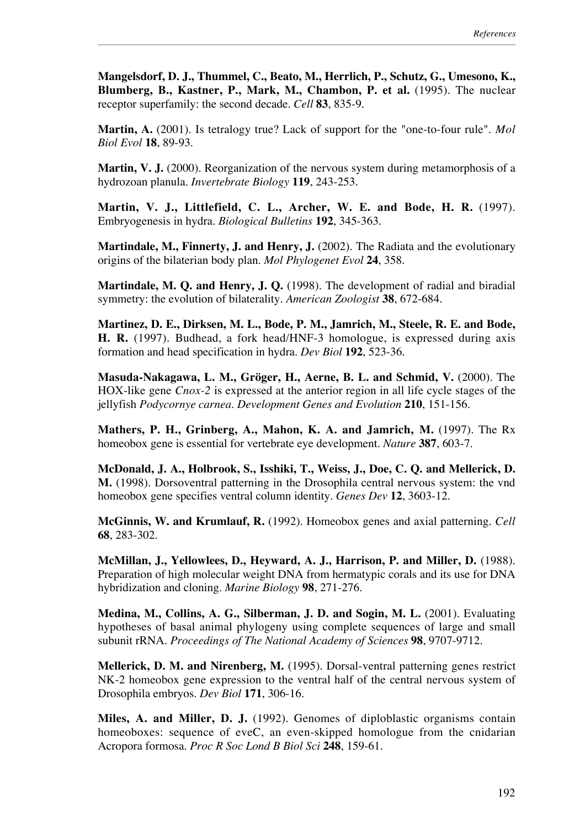**Mangelsdorf, D. J., Thummel, C., Beato, M., Herrlich, P., Schutz, G., Umesono, K., Blumberg, B., Kastner, P., Mark, M., Chambon, P. et al.** (1995). The nuclear receptor superfamily: the second decade. *Cell* **83**, 835-9.

**Martin, A.** (2001). Is tetralogy true? Lack of support for the "one-to-four rule". *Mol Biol Evol* **18**, 89-93.

**Martin, V. J.** (2000). Reorganization of the nervous system during metamorphosis of a hydrozoan planula. *Invertebrate Biology* **119**, 243-253.

**Martin, V. J., Littlefield, C. L., Archer, W. E. and Bode, H. R.** (1997). Embryogenesis in hydra. *Biological Bulletins* **192**, 345-363.

**Martindale, M., Finnerty, J. and Henry, J.** (2002). The Radiata and the evolutionary origins of the bilaterian body plan. *Mol Phylogenet Evol* **24**, 358.

**Martindale, M. Q. and Henry, J. Q.** (1998). The development of radial and biradial symmetry: the evolution of bilaterality. *American Zoologist* **38**, 672-684.

**Martinez, D. E., Dirksen, M. L., Bode, P. M., Jamrich, M., Steele, R. E. and Bode, H. R.** (1997). Budhead, a fork head/HNF-3 homologue, is expressed during axis formation and head specification in hydra. *Dev Biol* **192**, 523-36.

**Masuda-Nakagawa, L. M., Gröger, H., Aerne, B. L. and Schmid, V.** (2000). The HOX-like gene *Cnox-2* is expressed at the anterior region in all life cycle stages of the jellyfish *Podycornye carnea*. *Development Genes and Evolution* **210**, 151-156.

**Mathers, P. H., Grinberg, A., Mahon, K. A. and Jamrich, M.** (1997). The Rx homeobox gene is essential for vertebrate eye development. *Nature* **387**, 603-7.

**McDonald, J. A., Holbrook, S., Isshiki, T., Weiss, J., Doe, C. Q. and Mellerick, D. M.** (1998). Dorsoventral patterning in the Drosophila central nervous system: the vnd homeobox gene specifies ventral column identity. *Genes Dev* **12**, 3603-12.

**McGinnis, W. and Krumlauf, R.** (1992). Homeobox genes and axial patterning. *Cell* **68**, 283-302.

**McMillan, J., Yellowlees, D., Heyward, A. J., Harrison, P. and Miller, D.** (1988). Preparation of high molecular weight DNA from hermatypic corals and its use for DNA hybridization and cloning. *Marine Biology* **98**, 271-276.

**Medina, M., Collins, A. G., Silberman, J. D. and Sogin, M. L.** (2001). Evaluating hypotheses of basal animal phylogeny using complete sequences of large and small subunit rRNA. *Proceedings of The National Academy of Sciences* **98**, 9707-9712.

**Mellerick, D. M. and Nirenberg, M.** (1995). Dorsal-ventral patterning genes restrict NK-2 homeobox gene expression to the ventral half of the central nervous system of Drosophila embryos. *Dev Biol* **171**, 306-16.

**Miles, A. and Miller, D. J.** (1992). Genomes of diploblastic organisms contain homeoboxes: sequence of eveC, an even-skipped homologue from the cnidarian Acropora formosa. *Proc R Soc Lond B Biol Sci* **248**, 159-61.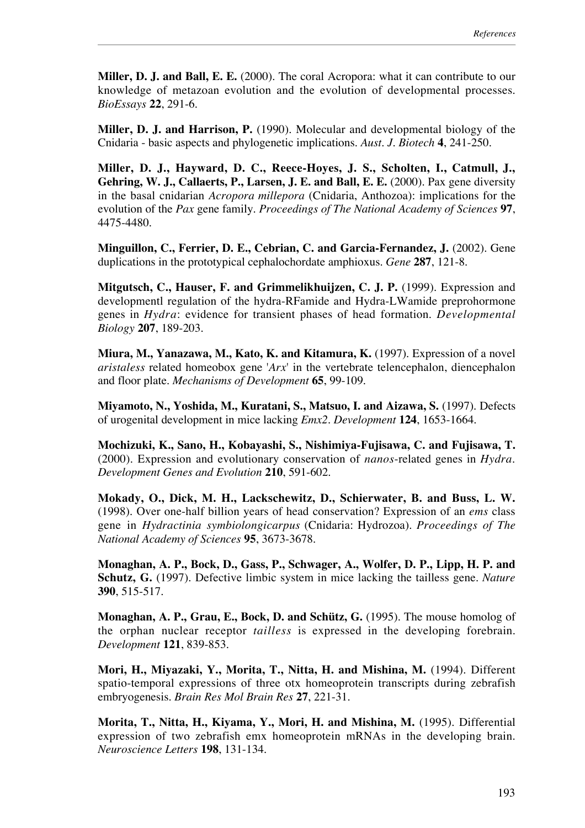**Miller, D. J. and Ball, E. E.** (2000). The coral Acropora: what it can contribute to our knowledge of metazoan evolution and the evolution of developmental processes. *BioEssays* **22**, 291-6.

**Miller, D. J. and Harrison, P.** (1990). Molecular and developmental biology of the Cnidaria - basic aspects and phylogenetic implications. *Aust. J. Biotech* **4**, 241-250.

**Miller, D. J., Hayward, D. C., Reece-Hoyes, J. S., Scholten, I., Catmull, J., Gehring, W. J., Callaerts, P., Larsen, J. E. and Ball, E. E.** (2000). Pax gene diversity in the basal cnidarian *Acropora millepora* (Cnidaria, Anthozoa): implications for the evolution of the *Pax* gene family. *Proceedings of The National Academy of Sciences* **97**, 4475-4480.

**Minguillon, C., Ferrier, D. E., Cebrian, C. and Garcia-Fernandez, J.** (2002). Gene duplications in the prototypical cephalochordate amphioxus. *Gene* **287**, 121-8.

**Mitgutsch, C., Hauser, F. and Grimmelikhuijzen, C. J. P.** (1999). Expression and developmentl regulation of the hydra-RFamide and Hydra-LWamide preprohormone genes in *Hydra*: evidence for transient phases of head formation. *Developmental Biology* **207**, 189-203.

**Miura, M., Yanazawa, M., Kato, K. and Kitamura, K.** (1997). Expression of a novel *aristaless* related homeobox gene '*Arx*' in the vertebrate telencephalon, diencephalon and floor plate. *Mechanisms of Development* **65**, 99-109.

**Miyamoto, N., Yoshida, M., Kuratani, S., Matsuo, I. and Aizawa, S.** (1997). Defects of urogenital development in mice lacking *Emx2*. *Development* **124**, 1653-1664.

**Mochizuki, K., Sano, H., Kobayashi, S., Nishimiya-Fujisawa, C. and Fujisawa, T.** (2000). Expression and evolutionary conservation of *nanos*-related genes in *Hydra*. *Development Genes and Evolution* **210**, 591-602.

**Mokady, O., Dick, M. H., Lackschewitz, D., Schierwater, B. and Buss, L. W.** (1998). Over one-half billion years of head conservation? Expression of an *ems* class gene in *Hydractinia symbiolongicarpus* (Cnidaria: Hydrozoa). *Proceedings of The National Academy of Sciences* **95**, 3673-3678.

**Monaghan, A. P., Bock, D., Gass, P., Schwager, A., Wolfer, D. P., Lipp, H. P. and Schutz, G.** (1997). Defective limbic system in mice lacking the tailless gene. *Nature* **390**, 515-517.

**Monaghan, A. P., Grau, E., Bock, D. and Schütz, G.** (1995). The mouse homolog of the orphan nuclear receptor *tailless* is expressed in the developing forebrain. *Development* **121**, 839-853.

**Mori, H., Miyazaki, Y., Morita, T., Nitta, H. and Mishina, M.** (1994). Different spatio-temporal expressions of three otx homeoprotein transcripts during zebrafish embryogenesis. *Brain Res Mol Brain Res* **27**, 221-31.

**Morita, T., Nitta, H., Kiyama, Y., Mori, H. and Mishina, M.** (1995). Differential expression of two zebrafish emx homeoprotein mRNAs in the developing brain. *Neuroscience Letters* **198**, 131-134.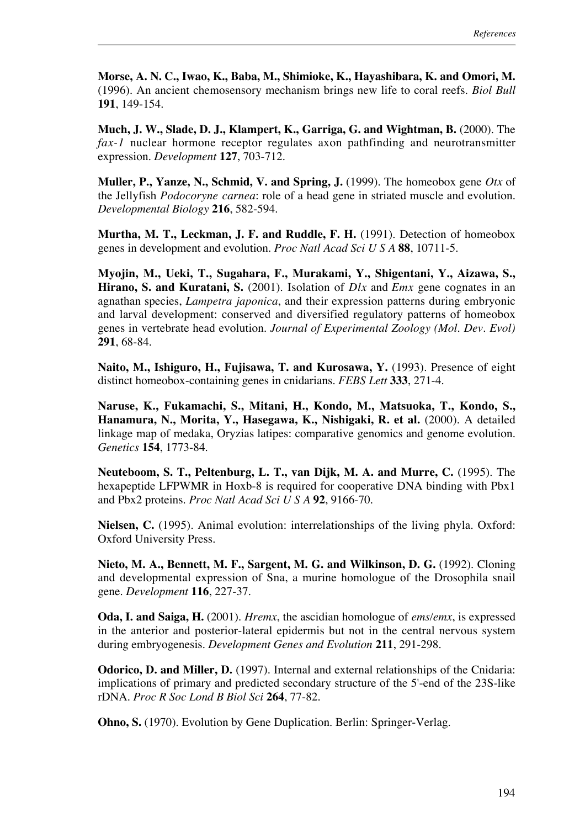**Morse, A. N. C., Iwao, K., Baba, M., Shimioke, K., Hayashibara, K. and Omori, M.** (1996). An ancient chemosensory mechanism brings new life to coral reefs. *Biol Bull* **191**, 149-154.

**Much, J. W., Slade, D. J., Klampert, K., Garriga, G. and Wightman, B.** (2000). The *fax-1* nuclear hormone receptor regulates axon pathfinding and neurotransmitter expression. *Development* **127**, 703-712.

**Muller, P., Yanze, N., Schmid, V. and Spring, J.** (1999). The homeobox gene *Otx* of the Jellyfish *Podocoryne carnea*: role of a head gene in striated muscle and evolution. *Developmental Biology* **216**, 582-594.

**Murtha, M. T., Leckman, J. F. and Ruddle, F. H.** (1991). Detection of homeobox genes in development and evolution. *Proc Natl Acad Sci U S A* **88**, 10711-5.

**Myojin, M., Ueki, T., Sugahara, F., Murakami, Y., Shigentani, Y., Aizawa, S., Hirano, S. and Kuratani, S.** (2001). Isolation of *Dlx* and *Emx* gene cognates in an agnathan species, *Lampetra japonica*, and their expression patterns during embryonic and larval development: conserved and diversified regulatory patterns of homeobox genes in vertebrate head evolution. *Journal of Experimental Zoology (Mol. Dev. Evol)* **291**, 68-84.

**Naito, M., Ishiguro, H., Fujisawa, T. and Kurosawa, Y.** (1993). Presence of eight distinct homeobox-containing genes in cnidarians. *FEBS Lett* **333**, 271-4.

**Naruse, K., Fukamachi, S., Mitani, H., Kondo, M., Matsuoka, T., Kondo, S., Hanamura, N., Morita, Y., Hasegawa, K., Nishigaki, R. et al.** (2000). A detailed linkage map of medaka, Oryzias latipes: comparative genomics and genome evolution. *Genetics* **154**, 1773-84.

**Neuteboom, S. T., Peltenburg, L. T., van Dijk, M. A. and Murre, C.** (1995). The hexapeptide LFPWMR in Hoxb-8 is required for cooperative DNA binding with Pbx1 and Pbx2 proteins. *Proc Natl Acad Sci U S A* **92**, 9166-70.

**Nielsen, C.** (1995). Animal evolution: interrelationships of the living phyla. Oxford: Oxford University Press.

**Nieto, M. A., Bennett, M. F., Sargent, M. G. and Wilkinson, D. G.** (1992). Cloning and developmental expression of Sna, a murine homologue of the Drosophila snail gene. *Development* **116**, 227-37.

**Oda, I. and Saiga, H.** (2001). *Hremx*, the ascidian homologue of *ems/emx*, is expressed in the anterior and posterior-lateral epidermis but not in the central nervous system during embryogenesis. *Development Genes and Evolution* **211**, 291-298.

**Odorico, D. and Miller, D.** (1997). Internal and external relationships of the Cnidaria: implications of primary and predicted secondary structure of the 5'-end of the 23S-like rDNA. *Proc R Soc Lond B Biol Sci* **264**, 77-82.

**Ohno, S.** (1970). Evolution by Gene Duplication. Berlin: Springer-Verlag.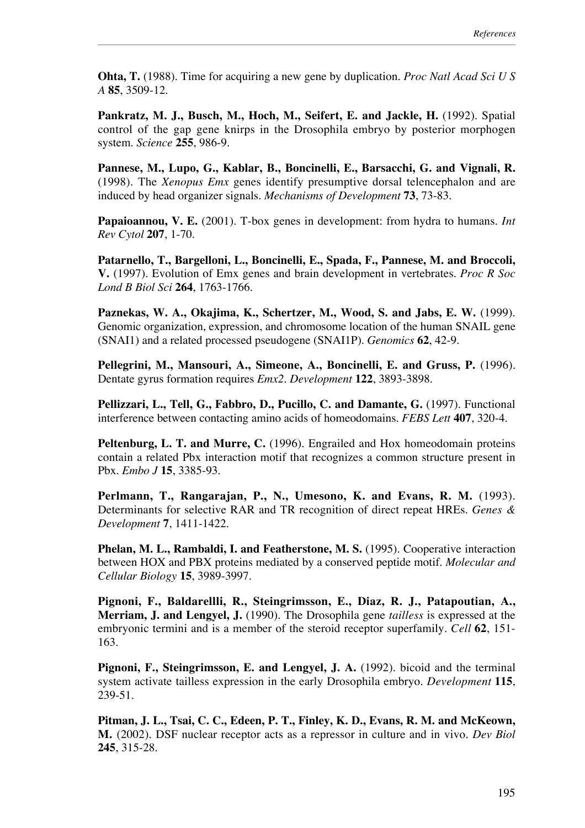**Ohta, T.** (1988). Time for acquiring a new gene by duplication. *Proc Natl Acad Sci U S A* **85**, 3509-12.

**Pankratz, M. J., Busch, M., Hoch, M., Seifert, E. and Jackle, H.** (1992). Spatial control of the gap gene knirps in the Drosophila embryo by posterior morphogen system. *Science* **255**, 986-9.

**Pannese, M., Lupo, G., Kablar, B., Boncinelli, E., Barsacchi, G. and Vignali, R.** (1998). The *Xenopus Emx* genes identify presumptive dorsal telencephalon and are induced by head organizer signals. *Mechanisms of Development* **73**, 73-83.

**Papaioannou, V. E.** (2001). T-box genes in development: from hydra to humans. *Int Rev Cytol* **207**, 1-70.

**Patarnello, T., Bargelloni, L., Boncinelli, E., Spada, F., Pannese, M. and Broccoli, V.** (1997). Evolution of Emx genes and brain development in vertebrates. *Proc R Soc Lond B Biol Sci* **264**, 1763-1766.

**Paznekas, W. A., Okajima, K., Schertzer, M., Wood, S. and Jabs, E. W.** (1999). Genomic organization, expression, and chromosome location of the human SNAIL gene (SNAI1) and a related processed pseudogene (SNAI1P). *Genomics* **62**, 42-9.

**Pellegrini, M., Mansouri, A., Simeone, A., Boncinelli, E. and Gruss, P.** (1996). Dentate gyrus formation requires *Emx2*. *Development* **122**, 3893-3898.

**Pellizzari, L., Tell, G., Fabbro, D., Pucillo, C. and Damante, G.** (1997). Functional interference between contacting amino acids of homeodomains. *FEBS Lett* **407**, 320-4.

Peltenburg, L. T. and Murre, C. (1996). Engrailed and Hox homeodomain proteins contain a related Pbx interaction motif that recognizes a common structure present in Pbx. *Embo J* **15**, 3385-93.

**Perlmann, T., Rangarajan, P., N., Umesono, K. and Evans, R. M.** (1993). Determinants for selective RAR and TR recognition of direct repeat HREs. *Genes & Development* **7**, 1411-1422.

**Phelan, M. L., Rambaldi, I. and Featherstone, M. S.** (1995). Cooperative interaction between HOX and PBX proteins mediated by a conserved peptide motif. *Molecular and Cellular Biology* **15**, 3989-3997.

**Pignoni, F., Baldarellli, R., Steingrimsson, E., Diaz, R. J., Patapoutian, A., Merriam, J. and Lengyel, J.** (1990). The Drosophila gene *tailless* is expressed at the embryonic termini and is a member of the steroid receptor superfamily. *Cell* **62**, 151- 163.

**Pignoni, F., Steingrimsson, E. and Lengyel, J. A.** (1992). bicoid and the terminal system activate tailless expression in the early Drosophila embryo. *Development* **115**, 239-51.

**Pitman, J. L., Tsai, C. C., Edeen, P. T., Finley, K. D., Evans, R. M. and McKeown, M.** (2002). DSF nuclear receptor acts as a repressor in culture and in vivo. *Dev Biol* **245**, 315-28.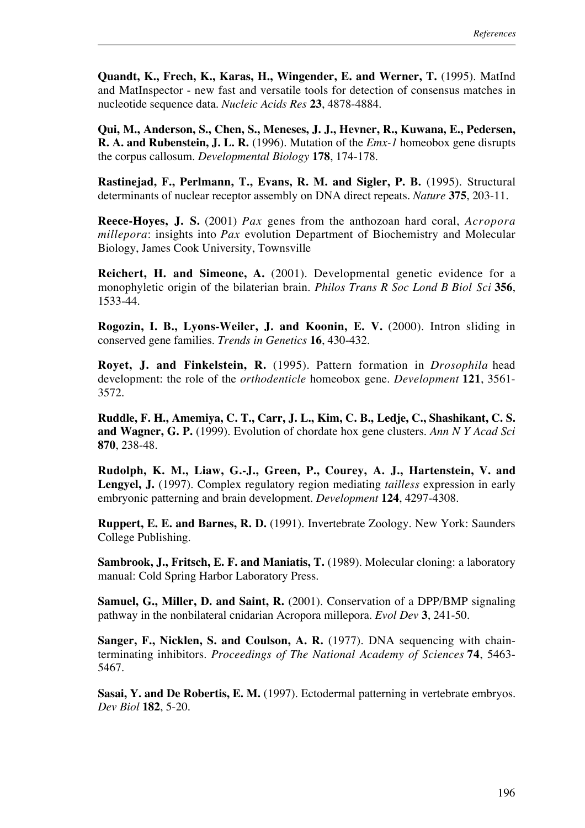**Quandt, K., Frech, K., Karas, H., Wingender, E. and Werner, T.** (1995). MatInd and MatInspector - new fast and versatile tools for detection of consensus matches in nucleotide sequence data. *Nucleic Acids Res* **23**, 4878-4884.

**Qui, M., Anderson, S., Chen, S., Meneses, J. J., Hevner, R., Kuwana, E., Pedersen, R. A. and Rubenstein, J. L. R.** (1996). Mutation of the *Emx-1* homeobox gene disrupts the corpus callosum. *Developmental Biology* **178**, 174-178.

**Rastinejad, F., Perlmann, T., Evans, R. M. and Sigler, P. B.** (1995). Structural determinants of nuclear receptor assembly on DNA direct repeats. *Nature* **375**, 203-11.

**Reece-Hoyes, J. S.** (2001) *Pax* genes from the anthozoan hard coral, *Acropora millepora*: insights into *Pax* evolution Department of Biochemistry and Molecular Biology, James Cook University, Townsville

**Reichert, H. and Simeone, A.** (2001). Developmental genetic evidence for a monophyletic origin of the bilaterian brain. *Philos Trans R Soc Lond B Biol Sci* **356**, 1533-44.

**Rogozin, I. B., Lyons-Weiler, J. and Koonin, E. V.** (2000). Intron sliding in conserved gene families. *Trends in Genetics* **16**, 430-432.

**Royet, J. and Finkelstein, R.** (1995). Pattern formation in *Drosophila* head development: the role of the *orthodenticle* homeobox gene. *Development* **121**, 3561- 3572.

**Ruddle, F. H., Amemiya, C. T., Carr, J. L., Kim, C. B., Ledje, C., Shashikant, C. S. and Wagner, G. P.** (1999). Evolution of chordate hox gene clusters. *Ann N Y Acad Sci* **870**, 238-48.

**Rudolph, K. M., Liaw, G.-J., Green, P., Courey, A. J., Hartenstein, V. and Lengyel, J.** (1997). Complex regulatory region mediating *tailless* expression in early embryonic patterning and brain development. *Development* **124**, 4297-4308.

**Ruppert, E. E. and Barnes, R. D.** (1991). Invertebrate Zoology. New York: Saunders College Publishing.

**Sambrook, J., Fritsch, E. F. and Maniatis, T.** (1989). Molecular cloning: a laboratory manual: Cold Spring Harbor Laboratory Press.

**Samuel, G., Miller, D. and Saint, R.** (2001). Conservation of a DPP/BMP signaling pathway in the nonbilateral cnidarian Acropora millepora. *Evol Dev* **3**, 241-50.

**Sanger, F., Nicklen, S. and Coulson, A. R.** (1977). DNA sequencing with chainterminating inhibitors. *Proceedings of The National Academy of Sciences* **74**, 5463- 5467.

**Sasai, Y. and De Robertis, E. M.** (1997). Ectodermal patterning in vertebrate embryos. *Dev Biol* **182**, 5-20.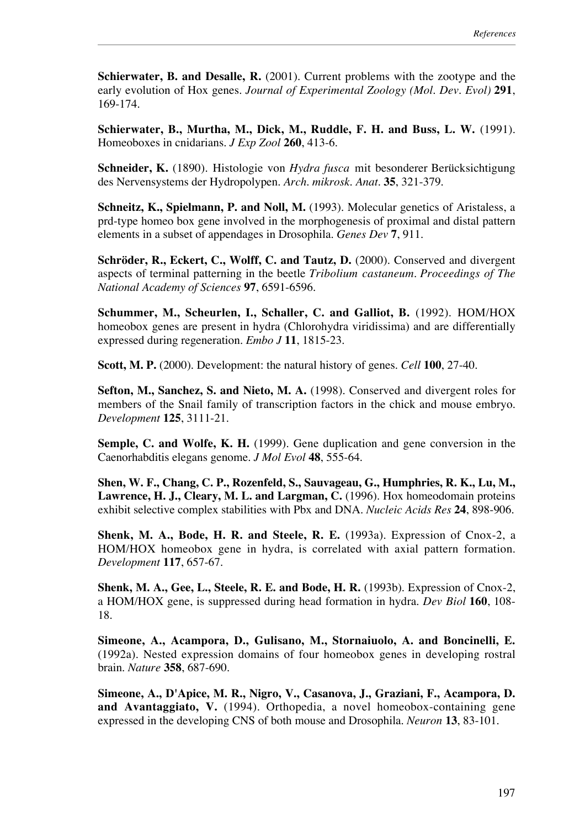**Schierwater, B. and Desalle, R.** (2001). Current problems with the zootype and the early evolution of Hox genes. *Journal of Experimental Zoology (Mol. Dev. Evol)* **291**, 169-174.

**Schierwater, B., Murtha, M., Dick, M., Ruddle, F. H. and Buss, L. W.** (1991). Homeoboxes in cnidarians. *J Exp Zool* **260**, 413-6.

**Schneider, K.** (1890). Histologie von *Hydra fusca* mit besonderer Berücksichtigung des Nervensystems der Hydropolypen. *Arch. mikrosk. Anat.* **35**, 321-379.

**Schneitz, K., Spielmann, P. and Noll, M.** (1993). Molecular genetics of Aristaless, a prd-type homeo box gene involved in the morphogenesis of proximal and distal pattern elements in a subset of appendages in Drosophila. *Genes Dev* **7**, 911.

**Schröder, R., Eckert, C., Wolff, C. and Tautz, D.** (2000). Conserved and divergent aspects of terminal patterning in the beetle *Tribolium castaneum*. *Proceedings of The National Academy of Sciences* **97**, 6591-6596.

**Schummer, M., Scheurlen, I., Schaller, C. and Galliot, B.** (1992). HOM/HOX homeobox genes are present in hydra (Chlorohydra viridissima) and are differentially expressed during regeneration. *Embo J* **11**, 1815-23.

**Scott, M. P.** (2000). Development: the natural history of genes. *Cell* **100**, 27-40.

**Sefton, M., Sanchez, S. and Nieto, M. A.** (1998). Conserved and divergent roles for members of the Snail family of transcription factors in the chick and mouse embryo. *Development* **125**, 3111-21.

**Semple, C. and Wolfe, K. H.** (1999). Gene duplication and gene conversion in the Caenorhabditis elegans genome. *J Mol Evol* **48**, 555-64.

**Shen, W. F., Chang, C. P., Rozenfeld, S., Sauvageau, G., Humphries, R. K., Lu, M., Lawrence, H. J., Cleary, M. L. and Largman, C.** (1996). Hox homeodomain proteins exhibit selective complex stabilities with Pbx and DNA. *Nucleic Acids Res* **24**, 898-906.

**Shenk, M. A., Bode, H. R. and Steele, R. E.** (1993a). Expression of Cnox-2, a HOM/HOX homeobox gene in hydra, is correlated with axial pattern formation. *Development* **117**, 657-67.

**Shenk, M. A., Gee, L., Steele, R. E. and Bode, H. R.** (1993b). Expression of Cnox-2, a HOM/HOX gene, is suppressed during head formation in hydra. *Dev Biol* **160**, 108- 18.

**Simeone, A., Acampora, D., Gulisano, M., Stornaiuolo, A. and Boncinelli, E.** (1992a). Nested expression domains of four homeobox genes in developing rostral brain. *Nature* **358**, 687-690.

**Simeone, A., D'Apice, M. R., Nigro, V., Casanova, J., Graziani, F., Acampora, D. and Avantaggiato, V.** (1994). Orthopedia, a novel homeobox-containing gene expressed in the developing CNS of both mouse and Drosophila. *Neuron* **13**, 83-101.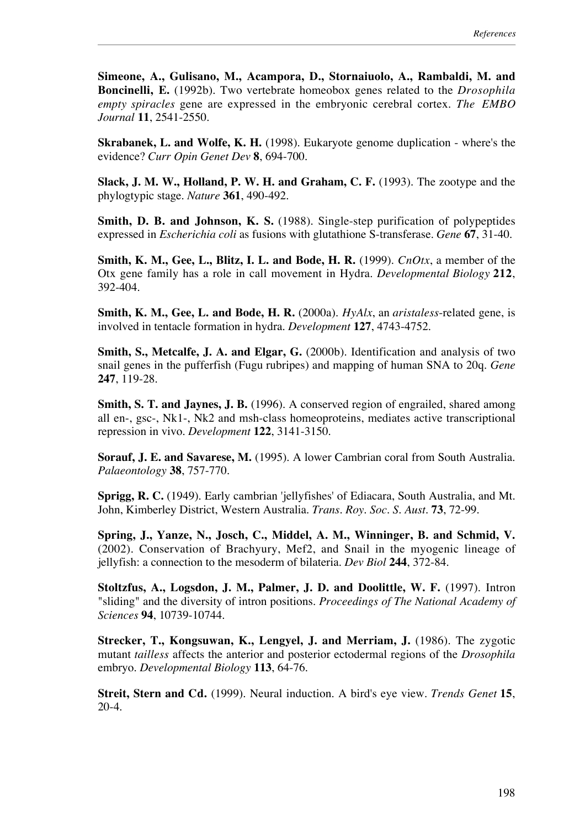**Simeone, A., Gulisano, M., Acampora, D., Stornaiuolo, A., Rambaldi, M. and Boncinelli, E.** (1992b). Two vertebrate homeobox genes related to the *Drosophila empty spiracles* gene are expressed in the embryonic cerebral cortex. *The EMBO Journal* **11**, 2541-2550.

**Skrabanek, L. and Wolfe, K. H.** (1998). Eukaryote genome duplication - where's the evidence? *Curr Opin Genet Dev* **8**, 694-700.

**Slack, J. M. W., Holland, P. W. H. and Graham, C. F.** (1993). The zootype and the phylogtypic stage. *Nature* **361**, 490-492.

**Smith, D. B. and Johnson, K. S.** (1988). Single-step purification of polypeptides expressed in *Escherichia coli* as fusions with glutathione S-transferase. *Gene* **67**, 31-40.

**Smith, K. M., Gee, L., Blitz, I. L. and Bode, H. R.** (1999). *CnOtx*, a member of the Otx gene family has a role in call movement in Hydra. *Developmental Biology* **212**, 392-404.

**Smith, K. M., Gee, L. and Bode, H. R.** (2000a). *HyAlx*, an *aristaless*-related gene, is involved in tentacle formation in hydra. *Development* **127**, 4743-4752.

**Smith, S., Metcalfe, J. A. and Elgar, G.** (2000b). Identification and analysis of two snail genes in the pufferfish (Fugu rubripes) and mapping of human SNA to 20q. *Gene* **247**, 119-28.

**Smith, S. T. and Jaynes, J. B.** (1996). A conserved region of engrailed, shared among all en-, gsc-, Nk1-, Nk2 and msh-class homeoproteins, mediates active transcriptional repression in vivo. *Development* **122**, 3141-3150.

**Sorauf, J. E. and Savarese, M.** (1995). A lower Cambrian coral from South Australia. *Palaeontology* **38**, 757-770.

**Sprigg, R. C.** (1949). Early cambrian 'jellyfishes' of Ediacara, South Australia, and Mt. John, Kimberley District, Western Australia. *Trans. Roy. Soc. S. Aust.* **73**, 72-99.

**Spring, J., Yanze, N., Josch, C., Middel, A. M., Winninger, B. and Schmid, V.** (2002). Conservation of Brachyury, Mef2, and Snail in the myogenic lineage of jellyfish: a connection to the mesoderm of bilateria. *Dev Biol* **244**, 372-84.

**Stoltzfus, A., Logsdon, J. M., Palmer, J. D. and Doolittle, W. F.** (1997). Intron "sliding" and the diversity of intron positions. *Proceedings of The National Academy of Sciences* **94**, 10739-10744.

**Strecker, T., Kongsuwan, K., Lengyel, J. and Merriam, J.** (1986). The zygotic mutant *tailless* affects the anterior and posterior ectodermal regions of the *Drosophila* embryo. *Developmental Biology* **113**, 64-76.

**Streit, Stern and Cd.** (1999). Neural induction. A bird's eye view. *Trends Genet* **15**, 20-4.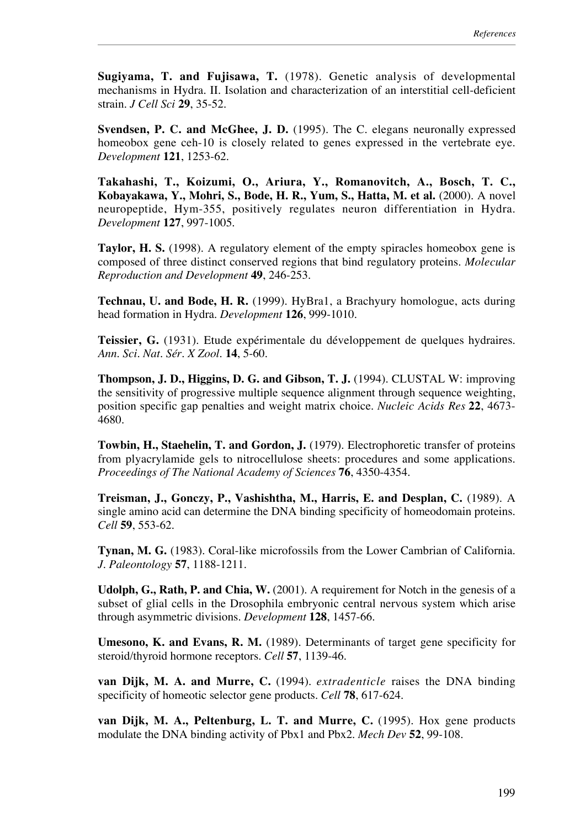**Sugiyama, T. and Fujisawa, T.** (1978). Genetic analysis of developmental mechanisms in Hydra. II. Isolation and characterization of an interstitial cell-deficient strain. *J Cell Sci* **29**, 35-52.

**Svendsen, P. C. and McGhee, J. D.** (1995). The C. elegans neuronally expressed homeobox gene ceh-10 is closely related to genes expressed in the vertebrate eye. *Development* **121**, 1253-62.

**Takahashi, T., Koizumi, O., Ariura, Y., Romanovitch, A., Bosch, T. C., Kobayakawa, Y., Mohri, S., Bode, H. R., Yum, S., Hatta, M. et al.** (2000). A novel neuropeptide, Hym-355, positively regulates neuron differentiation in Hydra. *Development* **127**, 997-1005.

**Taylor, H. S.** (1998). A regulatory element of the empty spiracles homeobox gene is composed of three distinct conserved regions that bind regulatory proteins. *Molecular Reproduction and Development* **49**, 246-253.

**Technau, U. and Bode, H. R.** (1999). HyBra1, a Brachyury homologue, acts during head formation in Hydra. *Development* **126**, 999-1010.

**Teissier, G.** (1931). Etude expérimentale du développement de quelques hydraires. *Ann. Sci. Nat. Sér. X Zool.* **14**, 5-60.

**Thompson, J. D., Higgins, D. G. and Gibson, T. J.** (1994). CLUSTAL W: improving the sensitivity of progressive multiple sequence alignment through sequence weighting, position specific gap penalties and weight matrix choice. *Nucleic Acids Res* **22**, 4673- 4680.

**Towbin, H., Staehelin, T. and Gordon, J.** (1979). Electrophoretic transfer of proteins from plyacrylamide gels to nitrocellulose sheets: procedures and some applications. *Proceedings of The National Academy of Sciences* **76**, 4350-4354.

**Treisman, J., Gonczy, P., Vashishtha, M., Harris, E. and Desplan, C.** (1989). A single amino acid can determine the DNA binding specificity of homeodomain proteins. *Cell* **59**, 553-62.

**Tynan, M. G.** (1983). Coral-like microfossils from the Lower Cambrian of California. *J. Paleontology* **57**, 1188-1211.

**Udolph, G., Rath, P. and Chia, W.** (2001). A requirement for Notch in the genesis of a subset of glial cells in the Drosophila embryonic central nervous system which arise through asymmetric divisions. *Development* **128**, 1457-66.

**Umesono, K. and Evans, R. M.** (1989). Determinants of target gene specificity for steroid/thyroid hormone receptors. *Cell* **57**, 1139-46.

**van Dijk, M. A. and Murre, C.** (1994). *extradenticle* raises the DNA binding specificity of homeotic selector gene products. *Cell* **78**, 617-624.

**van Dijk, M. A., Peltenburg, L. T. and Murre, C.** (1995). Hox gene products modulate the DNA binding activity of Pbx1 and Pbx2. *Mech Dev* **52**, 99-108.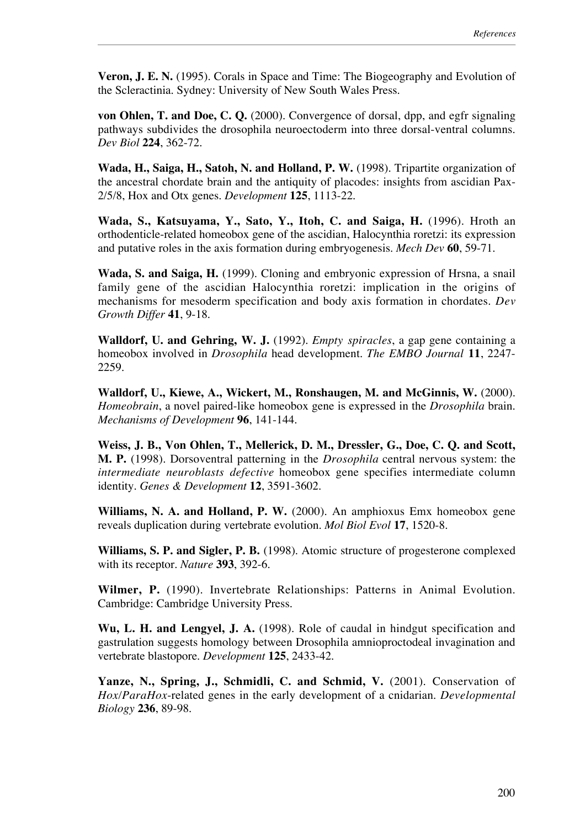**Veron, J. E. N.** (1995). Corals in Space and Time: The Biogeography and Evolution of the Scleractinia. Sydney: University of New South Wales Press.

**von Ohlen, T. and Doe, C. Q.** (2000). Convergence of dorsal, dpp, and egfr signaling pathways subdivides the drosophila neuroectoderm into three dorsal-ventral columns. *Dev Biol* **224**, 362-72.

**Wada, H., Saiga, H., Satoh, N. and Holland, P. W.** (1998). Tripartite organization of the ancestral chordate brain and the antiquity of placodes: insights from ascidian Pax-2/5/8, Hox and Otx genes. *Development* **125**, 1113-22.

**Wada, S., Katsuyama, Y., Sato, Y., Itoh, C. and Saiga, H.** (1996). Hroth an orthodenticle-related homeobox gene of the ascidian, Halocynthia roretzi: its expression and putative roles in the axis formation during embryogenesis. *Mech Dev* **60**, 59-71.

**Wada, S. and Saiga, H.** (1999). Cloning and embryonic expression of Hrsna, a snail family gene of the ascidian Halocynthia roretzi: implication in the origins of mechanisms for mesoderm specification and body axis formation in chordates. *Dev Growth Differ* **41**, 9-18.

**Walldorf, U. and Gehring, W. J.** (1992). *Empty spiracles*, a gap gene containing a homeobox involved in *Drosophila* head development. *The EMBO Journal* **11**, 2247- 2259.

**Walldorf, U., Kiewe, A., Wickert, M., Ronshaugen, M. and McGinnis, W.** (2000). *Homeobrain*, a novel paired-like homeobox gene is expressed in the *Drosophila* brain. *Mechanisms of Development* **96**, 141-144.

**Weiss, J. B., Von Ohlen, T., Mellerick, D. M., Dressler, G., Doe, C. Q. and Scott, M. P.** (1998). Dorsoventral patterning in the *Drosophila* central nervous system: the *intermediate neuroblasts defective* homeobox gene specifies intermediate column identity. *Genes & Development* **12**, 3591-3602.

**Williams, N. A. and Holland, P. W.** (2000). An amphioxus Emx homeobox gene reveals duplication during vertebrate evolution. *Mol Biol Evol* **17**, 1520-8.

**Williams, S. P. and Sigler, P. B.** (1998). Atomic structure of progesterone complexed with its receptor. *Nature* **393**, 392-6.

**Wilmer, P.** (1990). Invertebrate Relationships: Patterns in Animal Evolution. Cambridge: Cambridge University Press.

**Wu, L. H. and Lengyel, J. A.** (1998). Role of caudal in hindgut specification and gastrulation suggests homology between Drosophila amnioproctodeal invagination and vertebrate blastopore. *Development* **125**, 2433-42.

Yanze, N., Spring, J., Schmidli, C. and Schmid, V. (2001). Conservation of *Hox/ParaHox*-related genes in the early development of a cnidarian. *Developmental Biology* **236**, 89-98.